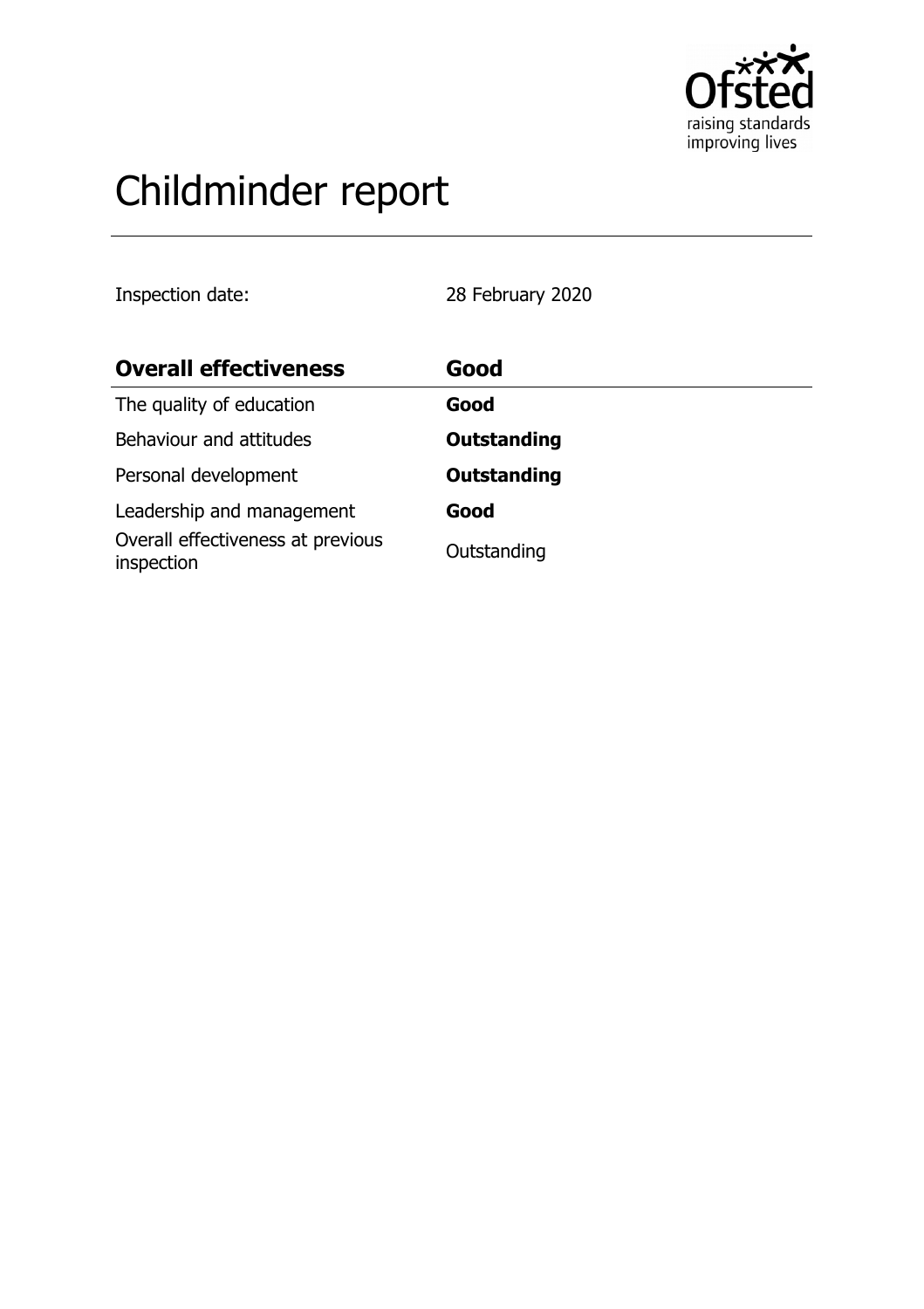

# Childminder report

Inspection date: 28 February 2020

| <b>Overall effectiveness</b>                    | Good               |
|-------------------------------------------------|--------------------|
| The quality of education                        | Good               |
| Behaviour and attitudes                         | <b>Outstanding</b> |
| Personal development                            | <b>Outstanding</b> |
| Leadership and management                       | Good               |
| Overall effectiveness at previous<br>inspection | Outstanding        |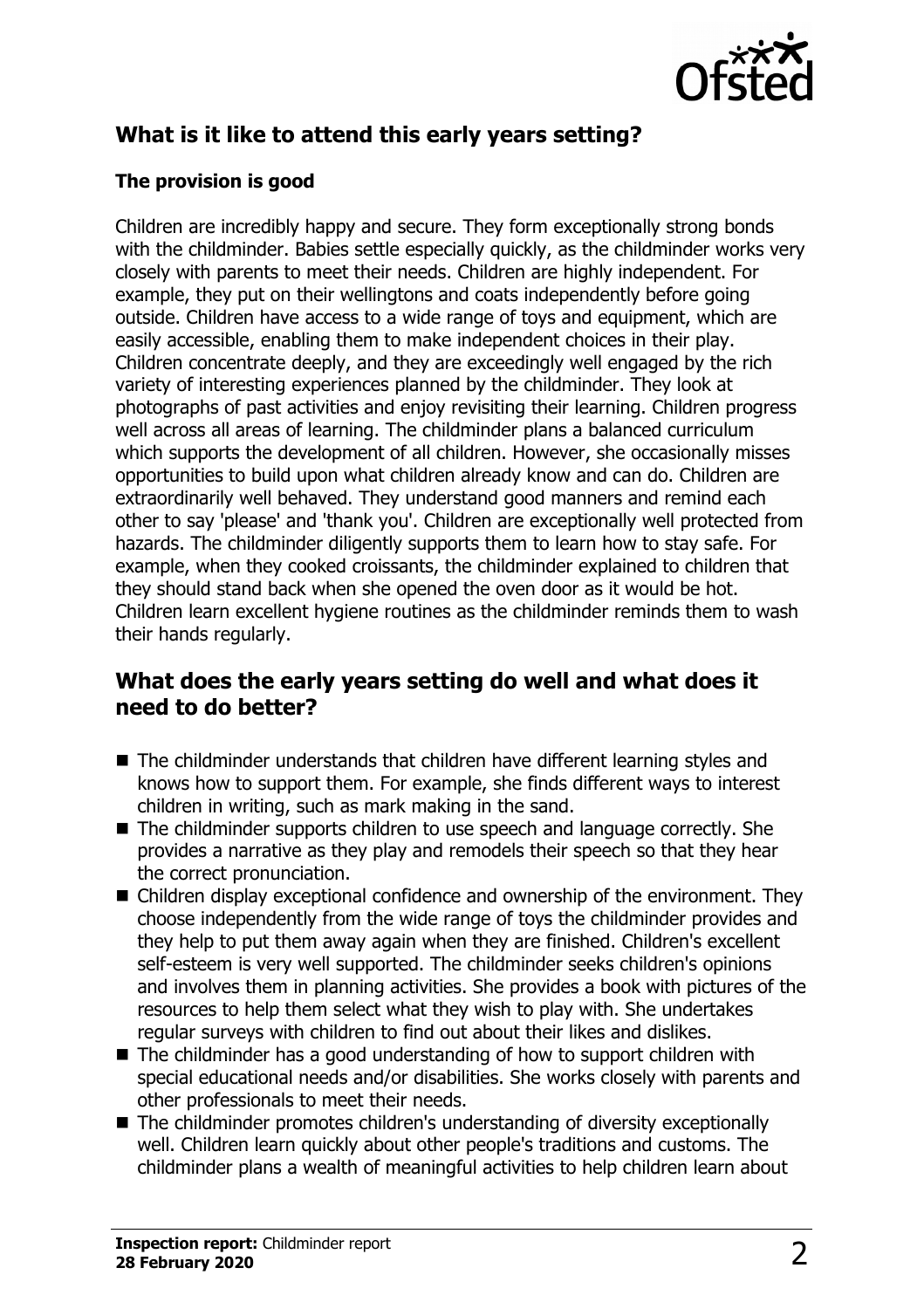

# **What is it like to attend this early years setting?**

#### **The provision is good**

Children are incredibly happy and secure. They form exceptionally strong bonds with the childminder. Babies settle especially quickly, as the childminder works very closely with parents to meet their needs. Children are highly independent. For example, they put on their wellingtons and coats independently before going outside. Children have access to a wide range of toys and equipment, which are easily accessible, enabling them to make independent choices in their play. Children concentrate deeply, and they are exceedingly well engaged by the rich variety of interesting experiences planned by the childminder. They look at photographs of past activities and enjoy revisiting their learning. Children progress well across all areas of learning. The childminder plans a balanced curriculum which supports the development of all children. However, she occasionally misses opportunities to build upon what children already know and can do. Children are extraordinarily well behaved. They understand good manners and remind each other to say 'please' and 'thank you'. Children are exceptionally well protected from hazards. The childminder diligently supports them to learn how to stay safe. For example, when they cooked croissants, the childminder explained to children that they should stand back when she opened the oven door as it would be hot. Children learn excellent hygiene routines as the childminder reminds them to wash their hands regularly.

## **What does the early years setting do well and what does it need to do better?**

- $\blacksquare$  The childminder understands that children have different learning styles and knows how to support them. For example, she finds different ways to interest children in writing, such as mark making in the sand.
- $\blacksquare$  The childminder supports children to use speech and language correctly. She provides a narrative as they play and remodels their speech so that they hear the correct pronunciation.
- $\blacksquare$  Children display exceptional confidence and ownership of the environment. They choose independently from the wide range of toys the childminder provides and they help to put them away again when they are finished. Children's excellent self-esteem is very well supported. The childminder seeks children's opinions and involves them in planning activities. She provides a book with pictures of the resources to help them select what they wish to play with. She undertakes regular surveys with children to find out about their likes and dislikes.
- $\blacksquare$  The childminder has a good understanding of how to support children with special educational needs and/or disabilities. She works closely with parents and other professionals to meet their needs.
- $\blacksquare$  The childminder promotes children's understanding of diversity exceptionally well. Children learn quickly about other people's traditions and customs. The childminder plans a wealth of meaningful activities to help children learn about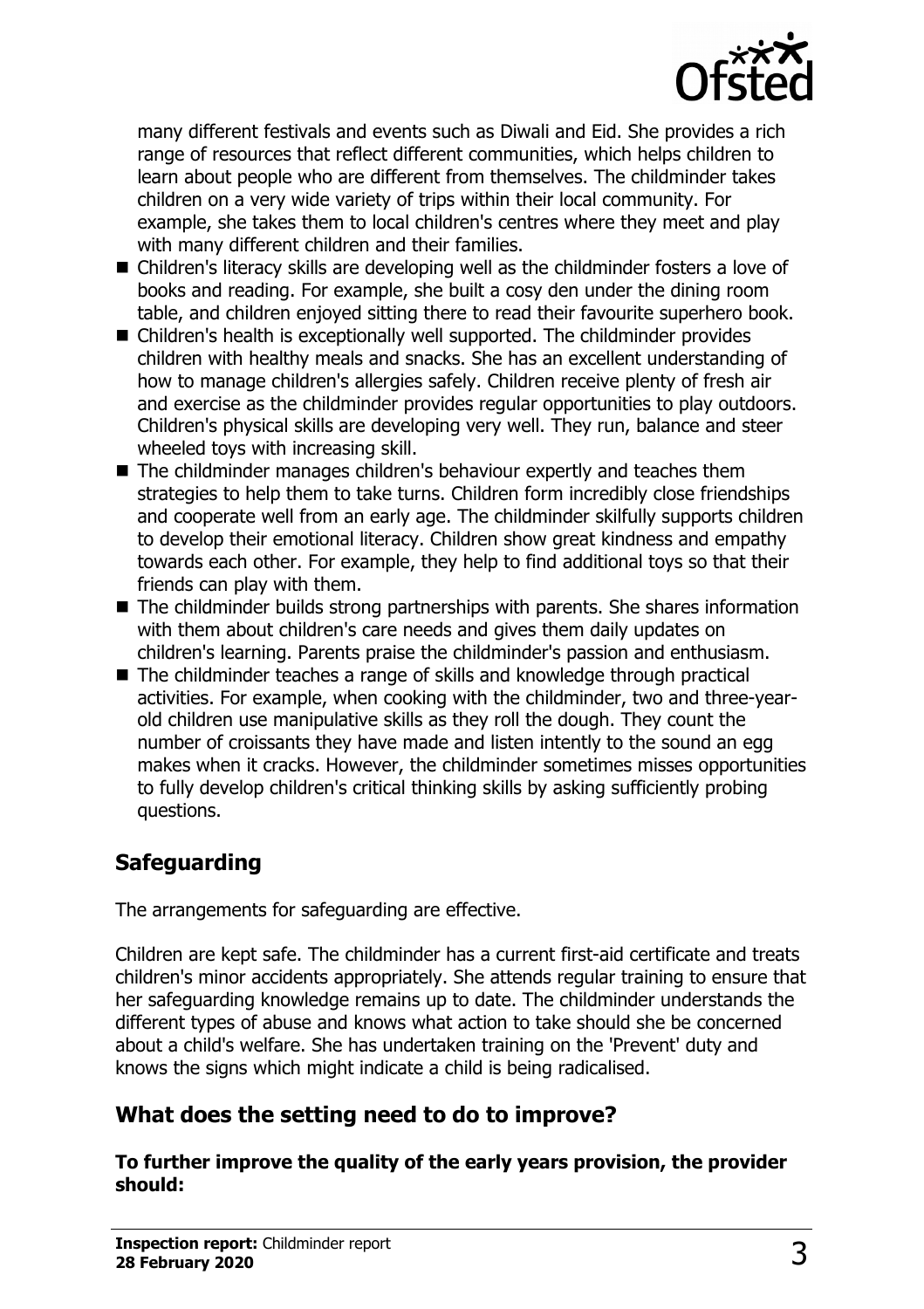

many different festivals and events such as Diwali and Eid. She provides a rich range of resources that reflect different communities, which helps children to learn about people who are different from themselves. The childminder takes children on a very wide variety of trips within their local community. For example, she takes them to local children's centres where they meet and play with many different children and their families.

- Children's literacy skills are developing well as the childminder fosters a love of books and reading. For example, she built a cosy den under the dining room table, and children enjoyed sitting there to read their favourite superhero book.
- $\blacksquare$  Children's health is exceptionally well supported. The childminder provides children with healthy meals and snacks. She has an excellent understanding of how to manage children's allergies safely. Children receive plenty of fresh air and exercise as the childminder provides regular opportunities to play outdoors. Children's physical skills are developing very well. They run, balance and steer wheeled toys with increasing skill.
- $\blacksquare$  The childminder manages children's behaviour expertly and teaches them strategies to help them to take turns. Children form incredibly close friendships and cooperate well from an early age. The childminder skilfully supports children to develop their emotional literacy. Children show great kindness and empathy towards each other. For example, they help to find additional toys so that their friends can play with them.
- $\blacksquare$  The childminder builds strong partnerships with parents. She shares information with them about children's care needs and gives them daily updates on children's learning. Parents praise the childminder's passion and enthusiasm.
- $\blacksquare$  The childminder teaches a range of skills and knowledge through practical activities. For example, when cooking with the childminder, two and three-yearold children use manipulative skills as they roll the dough. They count the number of croissants they have made and listen intently to the sound an egg makes when it cracks. However, the childminder sometimes misses opportunities to fully develop children's critical thinking skills by asking sufficiently probing questions.

# **Safeguarding**

The arrangements for safeguarding are effective.

Children are kept safe. The childminder has a current first-aid certificate and treats children's minor accidents appropriately. She attends regular training to ensure that her safeguarding knowledge remains up to date. The childminder understands the different types of abuse and knows what action to take should she be concerned about a child's welfare. She has undertaken training on the 'Prevent' duty and knows the signs which might indicate a child is being radicalised.

# **What does the setting need to do to improve?**

**To further improve the quality of the early years provision, the provider should:**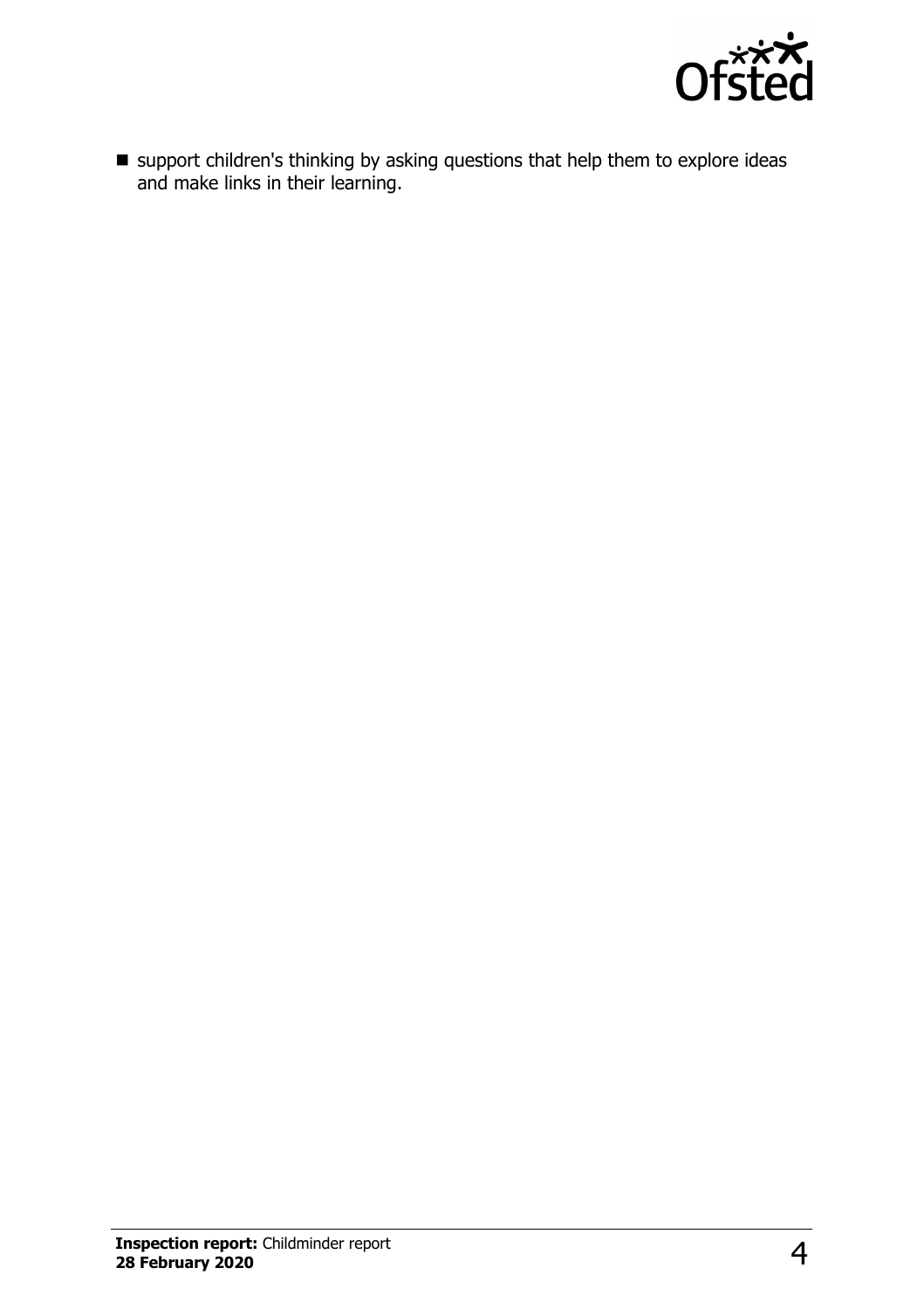

 $\blacksquare$  support children's thinking by asking questions that help them to explore ideas and make links in their learning.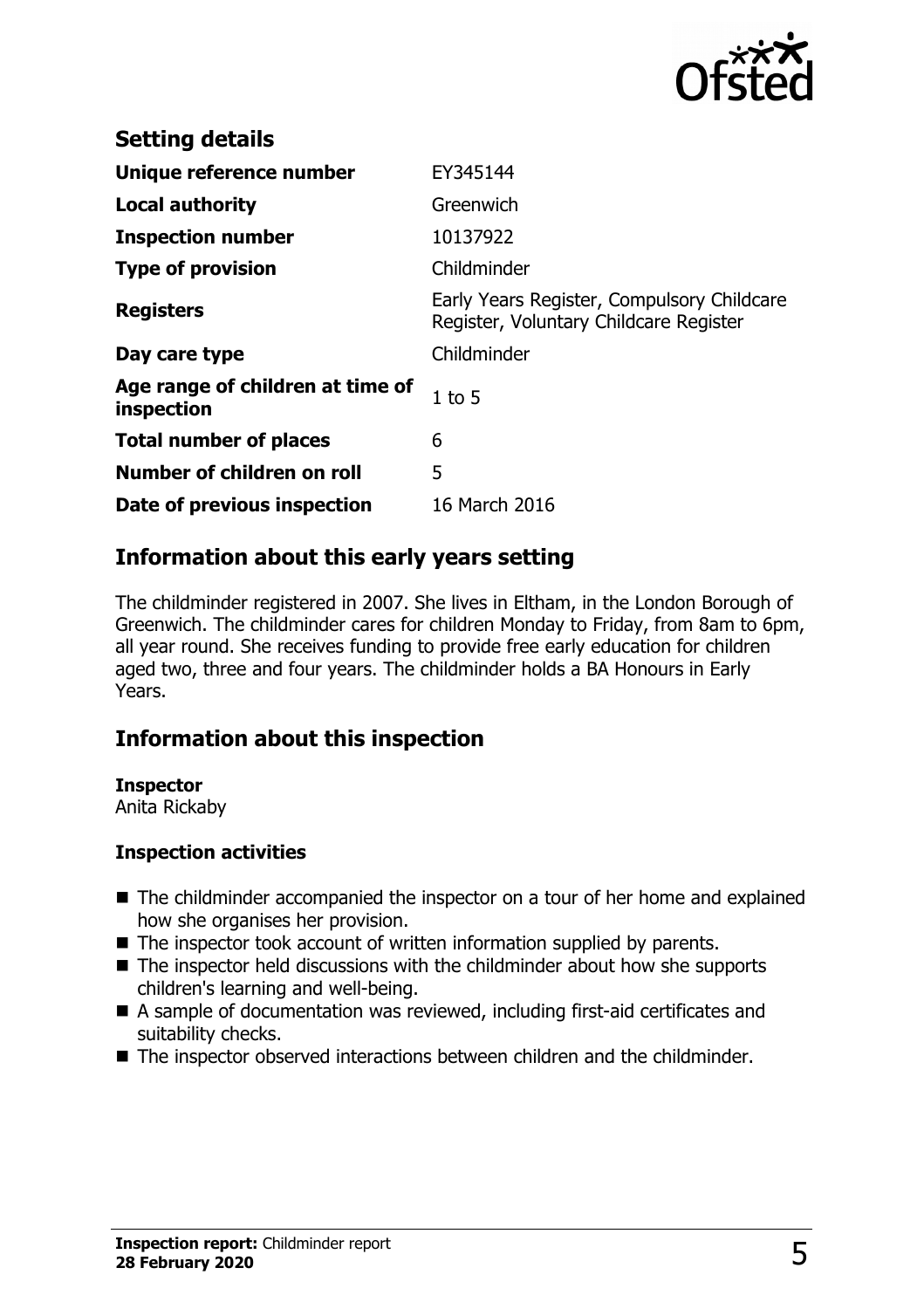

| <b>Setting details</b>                         |                                                                                      |
|------------------------------------------------|--------------------------------------------------------------------------------------|
| Unique reference number                        | EY345144                                                                             |
| <b>Local authority</b>                         | Greenwich                                                                            |
| <b>Inspection number</b>                       | 10137922                                                                             |
| <b>Type of provision</b>                       | Childminder                                                                          |
| <b>Registers</b>                               | Early Years Register, Compulsory Childcare<br>Register, Voluntary Childcare Register |
| Day care type                                  | Childminder                                                                          |
| Age range of children at time of<br>inspection | $1$ to 5                                                                             |
| <b>Total number of places</b>                  | 6                                                                                    |
| Number of children on roll                     | 5                                                                                    |
| Date of previous inspection                    | 16 March 2016                                                                        |

## **Information about this early years setting**

The childminder registered in 2007. She lives in Eltham, in the London Borough of Greenwich. The childminder cares for children Monday to Friday, from 8am to 6pm, all year round. She receives funding to provide free early education for children aged two, three and four years. The childminder holds a BA Honours in Early Years.

## **Information about this inspection**

#### **Inspector**

Anita Rickaby

#### **Inspection activities**

- $\blacksquare$  The childminder accompanied the inspector on a tour of her home and explained how she organises her provision.
- $\blacksquare$  The inspector took account of written information supplied by parents.
- $\blacksquare$  The inspector held discussions with the childminder about how she supports children's learning and well-being.
- A sample of documentation was reviewed, including first-aid certificates and suitability checks.
- The inspector observed interactions between children and the childminder.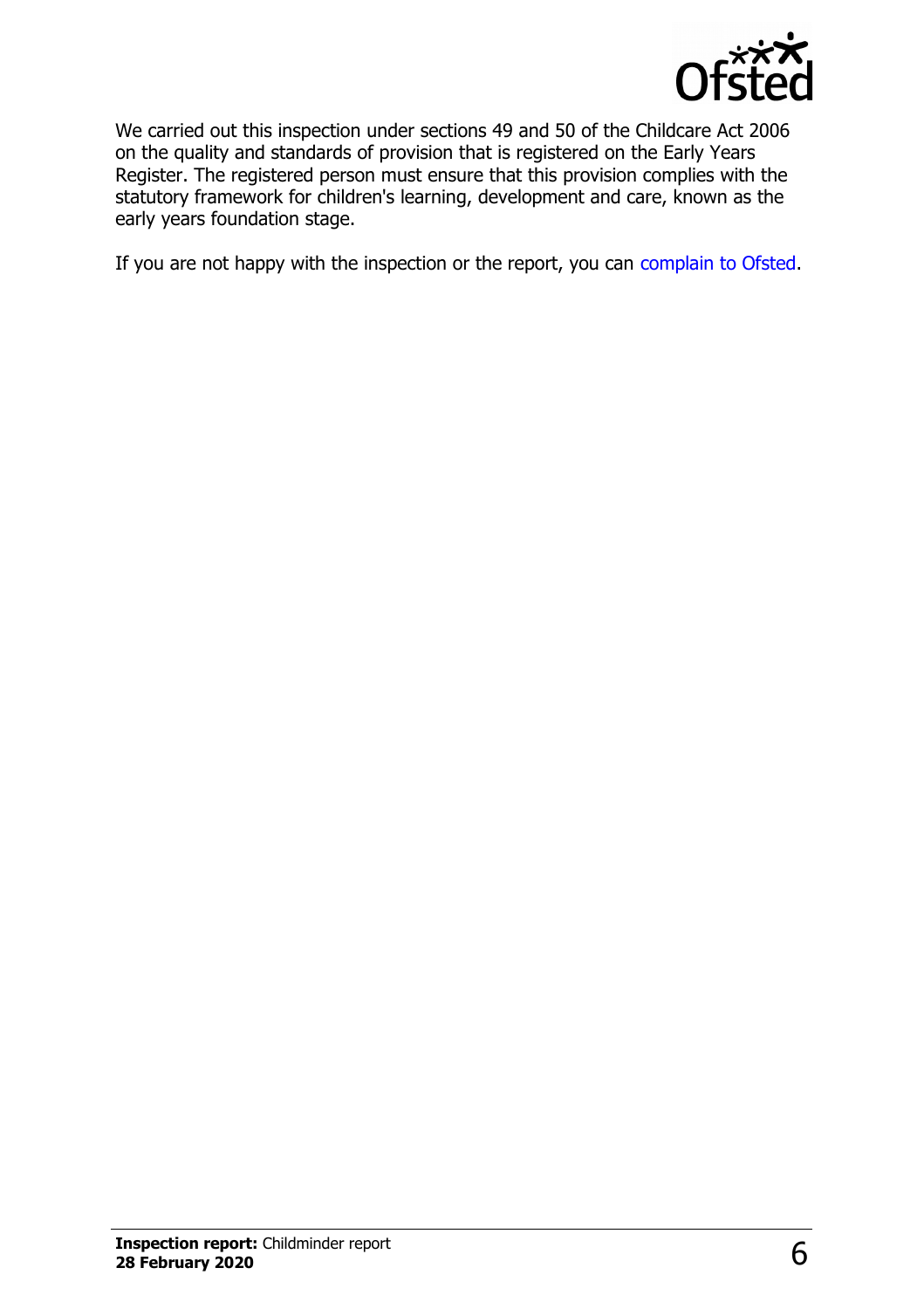

We carried out this inspection under sections 49 and 50 of the Childcare Act 2006 on the quality and standards of provision that is registered on the Early Years Register. The registered person must ensure that this provision complies with the statutory framework for children's learning, development and care, known as the early years foundation stage.

If you are not happy with the inspection or the report, you can [complain to Ofsted.](http://www.gov.uk/complain-ofsted-report)